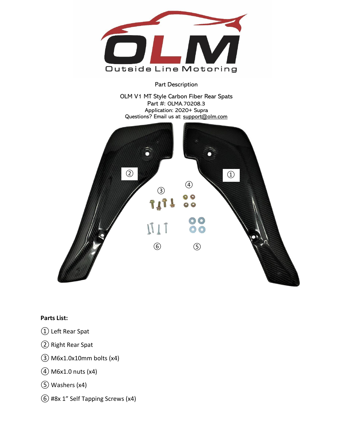

## Part Description

OLM V1 MT Style Carbon Fiber Rear Spats Part #: OLMA.70208.3 Application: 2020+ Supra Questions? Email us at: support@olm.com



## **Parts List:**

- ① Left Rear Spat
- ② Right Rear Spat
- ③ M6x1.0x10mm bolts (x4)
- ④M6x1.0 nuts (x4)
- ⑤ Washers (x4)
- ⑥ #8x 1" Self Tapping Screws (x4)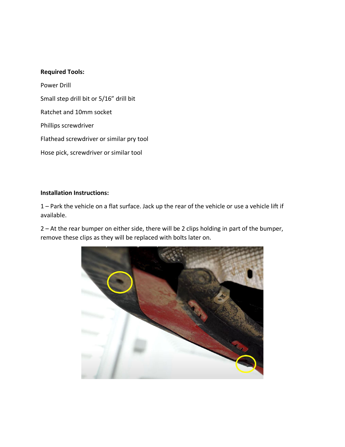## **Required Tools:**

Power Drill Small step drill bit or 5/16" drill bit Ratchet and 10mm socket Phillips screwdriver Flathead screwdriver or similar pry tool Hose pick, screwdriver or similar tool

## **Installation Instructions:**

1 – Park the vehicle on a flat surface. Jack up the rear of the vehicle or use a vehicle lift if available.

2 – At the rear bumper on either side, there will be 2 clips holding in part of the bumper, remove these clips as they will be replaced with bolts later on.

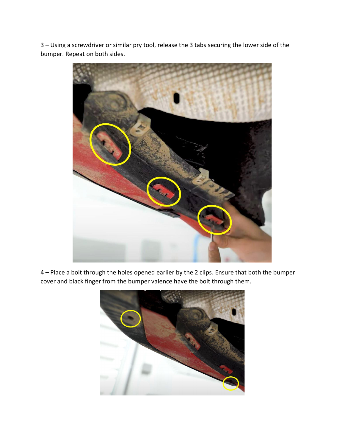3 – Using a screwdriver or similar pry tool, release the 3 tabs securing the lower side of the bumper. Repeat on both sides.



4 – Place a bolt through the holes opened earlier by the 2 clips. Ensure that both the bumper cover and black finger from the bumper valence have the bolt through them.

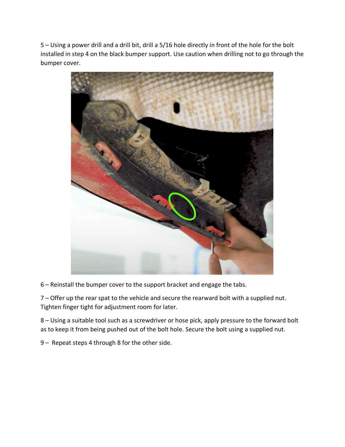5 – Using a power drill and a drill bit, drill a 5/16 hole directly in front of the hole for the bolt installed in step 4 on the black bumper support. Use caution when drilling not to go through the bumper cover.



6 – Reinstall the bumper cover to the support bracket and engage the tabs.

7 – Offer up the rear spat to the vehicle and secure the rearward bolt with a supplied nut. Tighten finger tight for adjustment room for later.

8 – Using a suitable tool such as a screwdriver or hose pick, apply pressure to the forward bolt as to keep it from being pushed out of the bolt hole. Secure the bolt using a supplied nut.

9 – Repeat steps 4 through 8 for the other side.